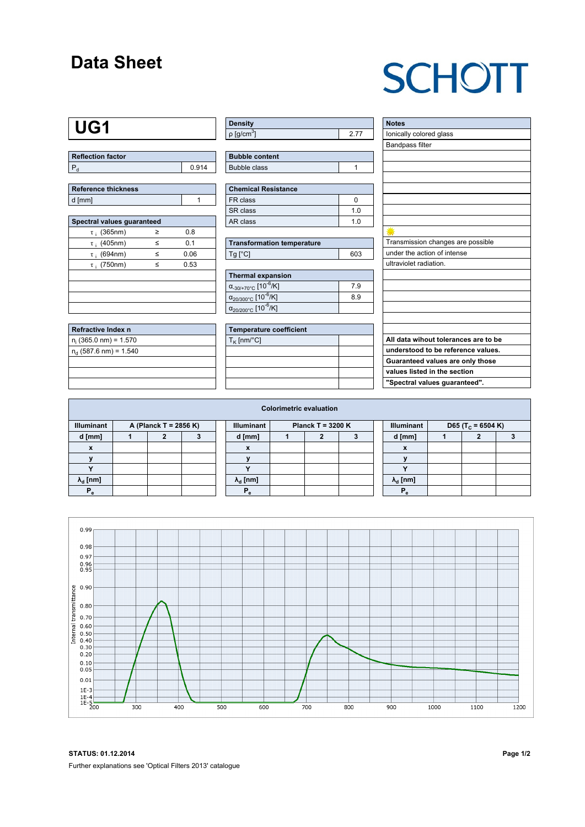## **Data Sheet**

# **SCHOTT**

## **UG1**

| Reflection factor |       |
|-------------------|-------|
|                   | በ 914 |

| Reference thickness |  |  |  |  |  |  |  |
|---------------------|--|--|--|--|--|--|--|
| d [mm]              |  |  |  |  |  |  |  |

| Spectral values quaranteed |   |      |  |  |  |  |  |  |  |
|----------------------------|---|------|--|--|--|--|--|--|--|
| $\tau_i$ (365nm)           | ≥ | 0.8  |  |  |  |  |  |  |  |
| $\tau$ ; (405nm)           | ≤ | 0.1  |  |  |  |  |  |  |  |
| $\tau$ ; (694nm)           | < | 0.06 |  |  |  |  |  |  |  |
| $\tau$ ; (750nm)           | ≤ | 0.53 |  |  |  |  |  |  |  |
|                            |   |      |  |  |  |  |  |  |  |
|                            |   |      |  |  |  |  |  |  |  |
|                            |   |      |  |  |  |  |  |  |  |
|                            |   |      |  |  |  |  |  |  |  |

| Refractive Index n         |  |
|----------------------------|--|
| $n_i$ (365.0 nm) = 1.570   |  |
| $n_{d}$ (587.6 nm) = 1.540 |  |
|                            |  |
|                            |  |
|                            |  |

| <b>Density</b>           |  |
|--------------------------|--|
| $p$ [g/cm <sup>3</sup> ] |  |

| <b>Bubble content</b> |  |
|-----------------------|--|
|                       |  |
| Bubble class          |  |

| <b>Chemical Resistance</b> |     |  |  |  |  |  |  |
|----------------------------|-----|--|--|--|--|--|--|
| FR class                   |     |  |  |  |  |  |  |
| SR class                   | 1 በ |  |  |  |  |  |  |
| AR class                   | 1 በ |  |  |  |  |  |  |

| <b>Transformation temperature</b> |     |  |  |  |  |
|-----------------------------------|-----|--|--|--|--|
| $Tg$ [ $^{\circ}$ C]              | 603 |  |  |  |  |

| Thermal expansion                                 |     |  |  |  |  |  |  |
|---------------------------------------------------|-----|--|--|--|--|--|--|
| $\alpha_{.30/+70\degree}$ c [10 $\frac{1}{6}$ /K] | 7.9 |  |  |  |  |  |  |
| $\alpha_{20/300^{\circ}C}$ [10 <sup>-6</sup> /K]  | 8.9 |  |  |  |  |  |  |
| $\alpha_{20/200^{\circ}C}$ [10 <sup>-6</sup> /K]  |     |  |  |  |  |  |  |

| <b>Temperature coefficient</b> |  |  |  |  |  |  |  |
|--------------------------------|--|--|--|--|--|--|--|
| $T_K$ [nm/°C]                  |  |  |  |  |  |  |  |
|                                |  |  |  |  |  |  |  |
|                                |  |  |  |  |  |  |  |
|                                |  |  |  |  |  |  |  |
|                                |  |  |  |  |  |  |  |

| <b>Notes</b>                         |
|--------------------------------------|
| lonically colored glass              |
| <b>Bandpass filter</b>               |
|                                      |
|                                      |
|                                      |
|                                      |
|                                      |
|                                      |
|                                      |
|                                      |
| Transmission changes are possible    |
| under the action of intense          |
| ultraviolet radiation.               |
|                                      |
|                                      |
|                                      |
|                                      |
|                                      |
|                                      |
| All data wihout tolerances are to be |
| understood to be reference values.   |
| Guaranteed values are only those     |
| values listed in the section         |
| "Spectral values guaranteed".        |

| <b>Colorimetric evaluation</b>             |  |  |  |  |                                          |  |  |  |  |                        |                               |  |  |
|--------------------------------------------|--|--|--|--|------------------------------------------|--|--|--|--|------------------------|-------------------------------|--|--|
| <b>Illuminant</b><br>A (Planck T = 2856 K) |  |  |  |  | <b>Illuminant</b><br>Planck T = $3200 K$ |  |  |  |  | <b>Illuminant</b>      | D65 (T <sub>c</sub> = 6504 K) |  |  |
| d [mm]                                     |  |  |  |  | d [mm]                                   |  |  |  |  | d [mm]                 |                               |  |  |
| X                                          |  |  |  |  | $\boldsymbol{\mathsf{x}}$                |  |  |  |  | $\boldsymbol{x}$       |                               |  |  |
|                                            |  |  |  |  |                                          |  |  |  |  |                        |                               |  |  |
|                                            |  |  |  |  |                                          |  |  |  |  |                        |                               |  |  |
| $\lambda_{\rm d}$ [nm]                     |  |  |  |  | $\lambda_{\rm d}$ [nm]                   |  |  |  |  | $\lambda_{\rm d}$ [nm] |                               |  |  |
| $P_e$                                      |  |  |  |  | Р                                        |  |  |  |  | P.                     |                               |  |  |